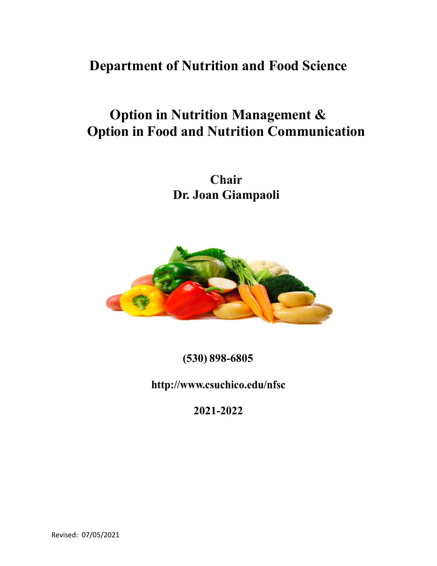**Department of Nutrition and Food Science**

# **Option in Nutrition Management & Option in Food and Nutrition Communication**

**Chair Dr. Joan Giampaoli**



**(530) 898-6805**

**<http://www.csuchico.edu/nfsc>**

**2021-2022**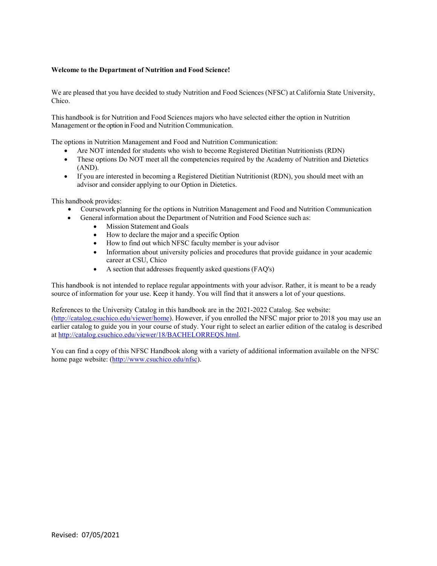#### **Welcome to the Department of Nutrition and Food Science!**

We are pleased that you have decided to study Nutrition and Food Sciences (NFSC) at California State University, Chico.

This handbook is for Nutrition and Food Sciences majors who have selected either the option in Nutrition Management or the option in Food and Nutrition Communication.

The options in Nutrition Management and Food and Nutrition Communication:

- Are NOT intended for students who wish to become Registered Dietitian Nutritionists (RDN)
- These options Do NOT meet all the competencies required by the Academy of Nutrition and Dietetics (AND).
- If you are interested in becoming a Registered Dietitian Nutritionist (RDN), you should meet with an advisor and consider applying to our Option in Dietetics.

This handbook provides:

- Coursework planning for the options in Nutrition Management and Food and Nutrition Communication
- General information about the Department of Nutrition and Food Science such as:
	- Mission Statement and Goals
	- How to declare the major and a specific Option
	- How to find out which NFSC faculty member is your advisor
	- Information about university policies and procedures that provide guidance in your academic career at CSU, Chico
	- A section that addresses frequently asked questions (FAQ's)

This handbook is not intended to replace regular appointments with your advisor. Rather, it is meant to be a ready source of information for your use. Keep it handy. You will find that it answers a lot of your questions.

References to the University Catalog in this handbook are in the 2021-2022 Catalog. See website:

[\(http://catalog.csuchico.edu/viewer/home\)](http://catalog.csuchico.edu/viewer/home). However, if you enrolled the NFSC major prior to 2018 you may use an earlier catalog to guide you in your course of study. Your right to select an earlier edition of the catalog is described a[t http://catalog.csuchico.edu/viewer/18/BACHELORREQS.html.](http://catalog.csuchico.edu/viewer/18/BACHELORREQS.html)

You can find a copy of this NFSC Handbook along with a variety of additional information available on the NFSC home page website: [\(http://www.csuchico.edu/nfsc\)](http://www.csuchico.edu/nfsc).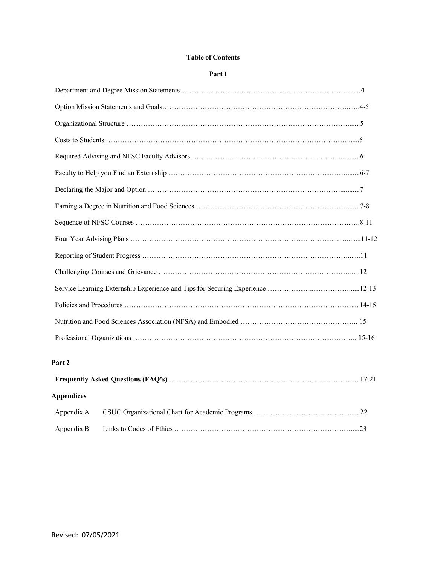#### **Table of Contents**

#### **Part 1**

| Part <sub>2</sub> |
|-------------------|
|                   |
| <b>Appendices</b> |
| Appendix A        |

Appendix B Links to Codes of Ethics ………………………………………………………………….....23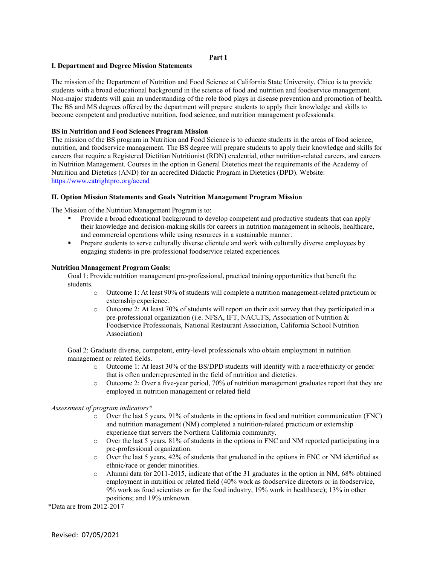#### **Part 1**

#### **I. Department and Degree Mission Statements**

The mission of the Department of Nutrition and Food Science at California State University, Chico is to provide students with a broad educational background in the science of food and nutrition and foodservice management. Non-major students will gain an understanding of the role food plays in disease prevention and promotion of health. The BS and MS degrees offered by the department will prepare students to apply their knowledge and skills to become competent and productive nutrition, food science, and nutrition management professionals.

#### **BS in Nutrition and Food Sciences Program Mission**

The mission of the BS program in Nutrition and Food Science is to educate students in the areas of food science, nutrition, and foodservice management. The BS degree will prepare students to apply their knowledge and skills for careers that require a Registered Dietitian Nutritionist (RDN) credential, other nutrition-related careers, and careers in Nutrition Management. Courses in the option in General Dietetics meet the requirements of the Academy of Nutrition and Dietetics (AND) for an accredited Didactic Program in Dietetics (DPD). Website: <https://www.eatrightpro.org/acend>

#### **II. Option Mission Statements and Goals Nutrition Management Program Mission**

The Mission of the Nutrition Management Program is to:

- Provide a broad educational background to develop competent and productive students that can apply their knowledge and decision-making skills for careers in nutrition management in schools, healthcare, and commercial operations while using resources in a sustainable manner.
- **Prepare students to serve culturally diverse clientele and work with culturally diverse employees by** engaging students in pre-professional foodservice related experiences.

#### **Nutrition Management Program Goals:**

Goal 1: Provide nutrition management pre-professional, practical training opportunities that benefit the students.

- o Outcome 1: At least 90% of students will complete a nutrition management-related practicum or externship experience.
- o Outcome 2: At least 70% of students will report on their exit survey that they participated in a pre-professional organization (i.e. NFSA, IFT, NACUFS, Association of Nutrition & Foodservice Professionals, National Restaurant Association, California School Nutrition Association)

Goal 2: Graduate diverse, competent, entry-level professionals who obtain employment in nutrition management or related fields.

- o Outcome 1: At least 30% of the BS/DPD students will identify with a race/ethnicity or gender that is often underrepresented in the field of nutrition and dietetics.
- $\circ$  Outcome 2: Over a five-year period, 70% of nutrition management graduates report that they are employed in nutrition management or related field

#### *Assessment of program indicators\**

- o Over the last 5 years, 91% of students in the options in food and nutrition communication (FNC) and nutrition management (NM) completed a nutrition-related practicum or externship experience that servers the Northern California community.
- o Over the last 5 years, 81% of students in the options in FNC and NM reported participating in a pre-professional organization.
- o Over the last 5 years, 42% of students that graduated in the options in FNC or NM identified as ethnic/race or gender minorities.
- o Alumni data for 2011-2015, indicate that of the 31 graduates in the option in NM, 68% obtained employment in nutrition or related field (40% work as foodservice directors or in foodservice, 9% work as food scientists or for the food industry, 19% work in healthcare); 13% in other positions; and 19% unknown.

\*Data are from 2012-2017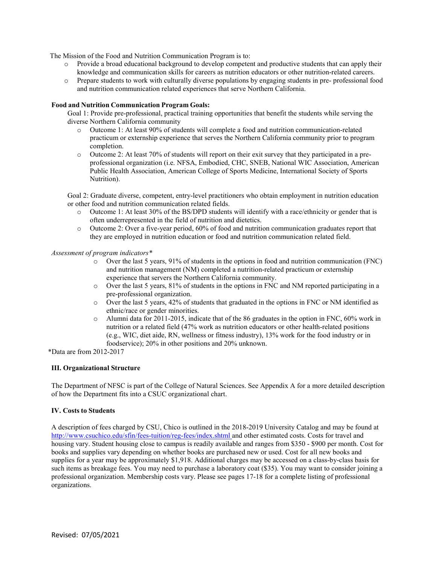The Mission of the Food and Nutrition Communication Program is to:

- $\circ$  Provide a broad educational background to develop competent and productive students that can apply their knowledge and communication skills for careers as nutrition educators or other nutrition-related careers.
- o Prepare students to work with culturally diverse populations by engaging students in pre- professional food and nutrition communication related experiences that serve Northern California.

#### **Food and Nutrition Communication Program Goals:**

Goal 1: Provide pre-professional, practical training opportunities that benefit the students while serving the diverse Northern California community

- o Outcome 1: At least 90% of students will complete a food and nutrition communication-related practicum or externship experience that serves the Northern California community prior to program completion.
- o Outcome 2: At least 70% of students will report on their exit survey that they participated in a preprofessional organization (i.e. NFSA, Embodied, CHC, SNEB, National WIC Association, American Public Health Association, American College of Sports Medicine, International Society of Sports Nutrition).

Goal 2: Graduate diverse, competent, entry-level practitioners who obtain employment in nutrition education or other food and nutrition communication related fields.

- o Outcome 1: At least 30% of the BS/DPD students will identify with a race/ethnicity or gender that is often underrepresented in the field of nutrition and dietetics.
- o Outcome 2: Over a five-year period, 60% of food and nutrition communication graduates report that they are employed in nutrition education or food and nutrition communication related field.

#### *Assessment of program indicators\**

- $\circ$  Over the last 5 years, 91% of students in the options in food and nutrition communication (FNC) and nutrition management (NM) completed a nutrition-related practicum or externship experience that servers the Northern California community.
- o Over the last 5 years, 81% of students in the options in FNC and NM reported participating in a pre-professional organization.
- o Over the last 5 years, 42% of students that graduated in the options in FNC or NM identified as ethnic/race or gender minorities.
- $\circ$  Alumni data for 2011-2015, indicate that of the 86 graduates in the option in FNC, 60% work in nutrition or a related field (47% work as nutrition educators or other health-related positions (e.g., WIC, diet aide, RN, wellness or fitness industry), 13% work for the food industry or in foodservice); 20% in other positions and 20% unknown.

\*Data are from 2012-2017

#### **III. Organizational Structure**

The Department of NFSC is part of the College of Natural Sciences. See Appendix A for a more detailed description of how the Department fits into a CSUC organizational chart.

#### **IV. Costs to Students**

A description of fees charged by CSU, Chico is outlined in the 2018-2019 University Catalog and may be found at [http://www.csuchico.edu/sfin/fees-tuition/reg-fees/index.shtml a](http://www.csuchico.edu/sfin/fees-tuition/reg-fees/index.shtml)nd other estimated costs. Costs for travel and housing vary. Student housing close to campus is readily available and ranges from \$350 - \$900 per month. Cost for books and supplies vary depending on whether books are purchased new or used. Cost for all new books and supplies for a year may be approximately \$1,918. Additional charges may be accessed on a class-by-class basis for such items as breakage fees. You may need to purchase a laboratory coat (\$35). You may want to consider joining a professional organization. Membership costs vary. Please see pages 17-18 for a complete listing of professional organizations.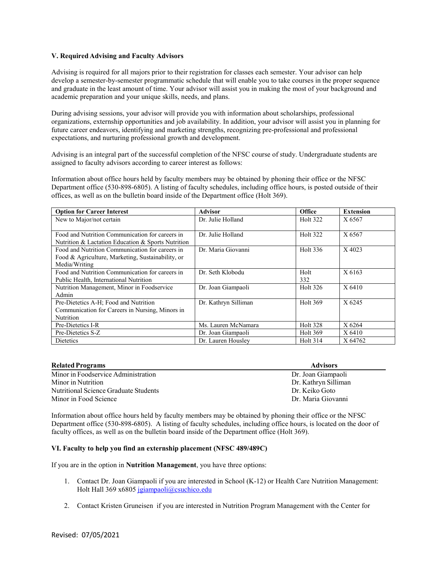#### **V. Required Advising and Faculty Advisors**

Advising is required for all majors prior to their registration for classes each semester. Your advisor can help develop a semester-by-semester programmatic schedule that will enable you to take courses in the proper sequence and graduate in the least amount of time. Your advisor will assist you in making the most of your background and academic preparation and your unique skills, needs, and plans.

During advising sessions, your advisor will provide you with information about scholarships, professional organizations, externship opportunities and job availability. In addition, your advisor will assist you in planning for future career endeavors, identifying and marketing strengths, recognizing pre-professional and professional expectations, and nurturing professional growth and development.

Advising is an integral part of the successful completion of the NFSC course of study. Undergraduate students are assigned to faculty advisors according to career interest as follows:

Information about office hours held by faculty members may be obtained by phoning their office or the NFSC Department office (530-898-6805). A listing of faculty schedules, including office hours, is posted outside of their offices, as well as on the bulletin board inside of the Department office (Holt 369).

| <b>Option for Career Interest</b>                                                                                     | <b>Advisor</b>       | <b>Office</b>   | <b>Extension</b> |
|-----------------------------------------------------------------------------------------------------------------------|----------------------|-----------------|------------------|
| New to Major/not certain                                                                                              | Dr. Julie Holland    | <b>Holt 322</b> | X 6567           |
| Food and Nutrition Communication for careers in<br>Nutrition & Lactation Education & Sports Nutrition                 | Dr. Julie Holland    | <b>Holt 322</b> | X 6567           |
| Food and Nutrition Communication for careers in<br>Food & Agriculture, Marketing, Sustainability, or<br>Media/Writing | Dr. Maria Giovanni   | <b>Holt 336</b> | X 4023           |
| Food and Nutrition Communication for careers in<br>Public Health, International Nutrition                             | Dr. Seth Klobodu     | Holt<br>332     | X 6163           |
| Nutrition Management, Minor in Foodservice<br>Admin                                                                   | Dr. Joan Giampaoli   | Holt 326        | X 6410           |
| Pre-Dietetics A-H; Food and Nutrition<br>Communication for Careers in Nursing, Minors in<br><b>Nutrition</b>          | Dr. Kathryn Silliman | Holt 369        | X 6245           |
| Pre-Dietetics I-R                                                                                                     | Ms. Lauren McNamara  | <b>Holt 328</b> | X 6264           |
| Pre-Dietetics S-Z                                                                                                     | Dr. Joan Giampaoli   | <b>Holt 369</b> | X 6410           |
| Dietetics                                                                                                             | Dr. Lauren Houslev   | <b>Holt 314</b> | X 64762          |

| <b>Related Programs</b>               | <b>Advisors</b>      |
|---------------------------------------|----------------------|
| Minor in Foodservice Administration   | Dr. Joan Giampaoli   |
| Minor in Nutrition                    | Dr. Kathryn Silliman |
| Nutritional Science Graduate Students | Dr. Keiko Goto       |
| Minor in Food Science                 | Dr. Maria Giovanni   |

Information about office hours held by faculty members may be obtained by phoning their office or the NFSC Department office (530-898-6805). A listing of faculty schedules, including office hours, is located on the door of faculty offices, as well as on the bulletin board inside of the Department office (Holt 369).

#### **VI. Faculty to help you find an externship placement (NFSC 489/489C)**

If you are in the option in **Nutrition Management**, you have three options:

- 1. Contact Dr. Joan Giampaoli if you are interested in School (K-12) or Health Care Nutrition Management: Holt Hall 369 x6805 [jgiampaoli@csuchico.edu](mailto:jgiampaoli@csuchico.edu)
- 2. Contact Kristen Gruneisen if you are interested in Nutrition Program Management with the Center for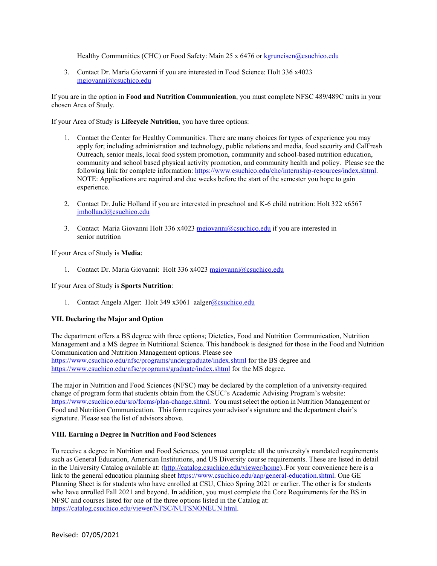Healthy Communities (CHC) or Food Safety: Main 25 x 6476 or [kgruneisen@csuchico.edu](mailto:kgruneisen@csuchico.edu)

3. Contact Dr. Maria Giovanni if you are interested in Food Science: Holt 336 x4023 [mgiovanni@csuchico.edu](mailto:mgiovanni@csuchico.edu)

If you are in the option in **Food and Nutrition Communication**, you must complete NFSC 489/489C units in your chosen Area of Study.

If your Area of Study is **Lifecycle Nutrition**, you have three options:

- 1. Contact the Center for Healthy Communities. There are many choices for types of experience you may apply for; including administration and technology, public relations and media, food security and CalFresh Outreach, senior meals, local food system promotion, community and school-based nutrition education, community and school based physical activity promotion, and community health and policy. Please see the following link for complete information: https://www.csuchico.edu/chc/internship-resources/index.shtml. NOTE: Applications are required and due weeks before the start of the semester you hope to gain experience.
- 2. Contact Dr. Julie Holland if you are interested in preschool and K-6 child nutrition: Holt 322 x6567 [jmholland@csuchico.edu](mailto:jmholland@csuchico.edu)
- 3. Contact Maria Giovanni Holt 336 x4023 [mgiovanni@csuchico.edu](mailto:mgiovanni@csuchico.edu) if you are interested in senior nutrition

If your Area of Study is **Media**:

1. Contact Dr. Maria Giovanni: Holt 336 x4023 [mgiovanni@csuchico.edu](mailto:mgiovanni@csuchico.edu)

If your Area of Study is **Sports Nutrition**:

1. Contact Angela Alger: Holt 349 x3061 aalge[r@csuchico.edu](mailto:@csuchico.edu)

#### **VII. Declaring the Major and Option**

The department offers a BS degree with three options; Dietetics, Food and Nutrition Communication, Nutrition Management and a MS degree in Nutritional Science. This handbook is designed for those in the Food and Nutrition Communication and Nutrition Management options. Please see <https://www.csuchico.edu/nfsc/programs/undergraduate/index.shtml> for the BS degree and <https://www.csuchico.edu/nfsc/programs/graduate/index.shtml> for the MS degree.

The major in Nutrition and Food Sciences (NFSC) may be declared by the completion of a university-required change of program form that students obtain from the CSUC's Academic Advising Program's website: [https://www.csuchico.edu/sro/forms/plan-change.shtml.](https://www.csuchico.edu/sro/forms/plan-change.shtml) You must select the option in Nutrition Management or Food and Nutrition Communication. This form requires your advisor's signature and the department chair's signature. Please see the list of advisors above.

#### **VIII. Earning a Degree in Nutrition and Food Sciences**

To receive a degree in Nutrition and Food Sciences, you must complete all the university's mandated requirements such as General Education, American Institutions, and US Diversity course requirements. These are listed in detail in the University Catalog available at: [\(http://catalog.csuchico.edu/viewer/home\)](http://catalog.csuchico.edu/viewer/home)..For your convenience here is a link to the general education planning sheet [https://www.csuchico.edu/aap/general-education.shtml.](https://www.csuchico.edu/aap/general-education.shtml) One GE Planning Sheet is for students who have enrolled at CSU, Chico Spring 2021 or earlier. The other is for students who have enrolled Fall 2021 and beyond. In addition, you must complete the Core Requirements for the BS in NFSC and courses listed for one of the three options listed in the Catalog at: [https://catalog.csuchico.edu/viewer/NFSC/NUFSNONEUN.html.](https://catalog.csuchico.edu/viewer/NFSC/NUFSNONEUN.html)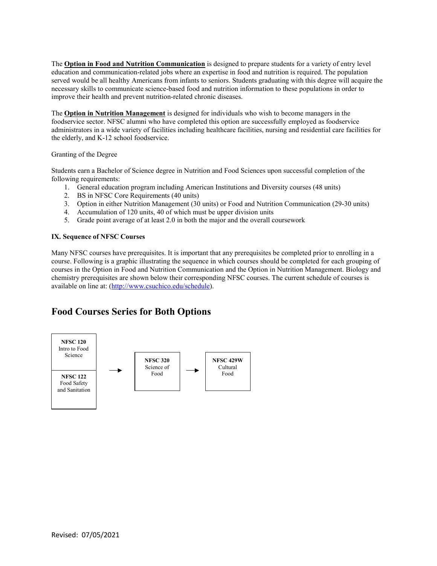The **Option in Food and Nutrition Communication** is designed to prepare students for a variety of entry level education and communication-related jobs where an expertise in food and nutrition is required. The population served would be all healthy Americans from infants to seniors. Students graduating with this degree will acquire the necessary skills to communicate science-based food and nutrition information to these populations in order to improve their health and prevent nutrition-related chronic diseases.

The **Option in Nutrition Management** is designed for individuals who wish to become managers in the foodservice sector. NFSC alumni who have completed this option are successfully employed as foodservice administrators in a wide variety of facilities including healthcare facilities, nursing and residential care facilities for the elderly, and K-12 school foodservice.

Granting of the Degree

Students earn a Bachelor of Science degree in Nutrition and Food Sciences upon successful completion of the following requirements:

- 1. General education program including American Institutions and Diversity courses (48 units)
- 2. BS in NFSC Core Requirements (40 units)
- 3. Option in either Nutrition Management (30 units) or Food and Nutrition Communication (29-30 units)
- 4. Accumulation of 120 units, 40 of which must be upper division units
- 5. Grade point average of at least 2.0 in both the major and the overall coursework

#### **IX. Sequence of NFSC Courses**

Many NFSC courses have prerequisites. It is important that any prerequisites be completed prior to enrolling in a course. Following is a graphic illustrating the sequence in which courses should be completed for each grouping of courses in the Option in Food and Nutrition Communication and the Option in Nutrition Management. Biology and chemistry prerequisites are shown below their corresponding NFSC courses. The current schedule of courses is available on line at: [\(http://www.csuchico.edu/schedule\)](http://www.csuchico.edu/schedule).

# **Food Courses Series for Both Options**

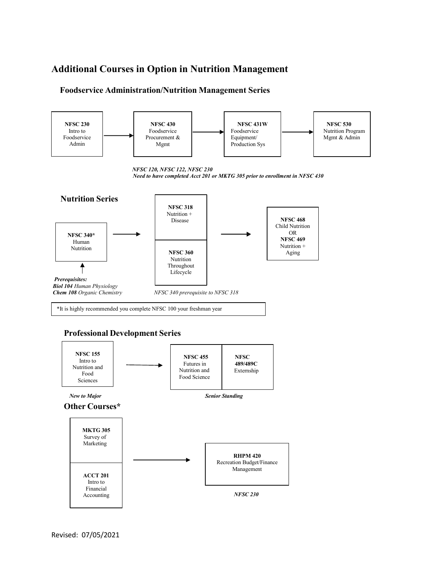# **Additional Courses in Option in Nutrition Management**

# **Foodservice Administration/Nutrition Management Series**



 *NFSC 230*

Financial Accounting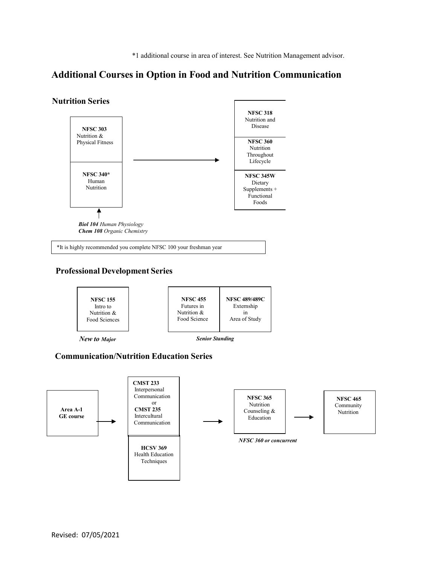\*1 additional course in area of interest. See Nutrition Management advisor.

# **Additional Courses in Option in Food and Nutrition Communication**

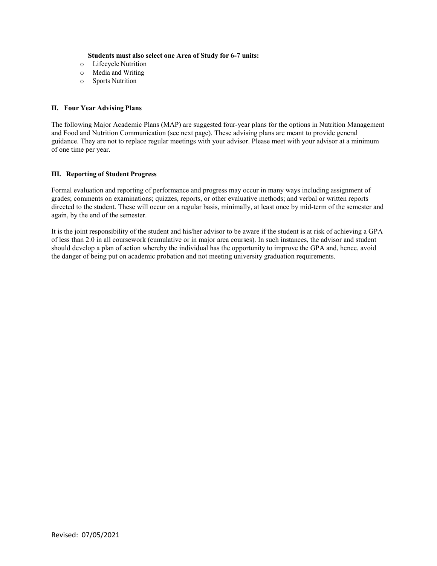#### **Students must also select one Area of Study for 6-7 units:**

- o Lifecycle Nutrition
- o Media and Writing
- o Sports Nutrition

#### **II. Four Year Advising Plans**

The following Major Academic Plans (MAP) are suggested four-year plans for the options in Nutrition Management and Food and Nutrition Communication (see next page). These advising plans are meant to provide general guidance. They are not to replace regular meetings with your advisor. Please meet with your advisor at a minimum of one time per year.

#### **III. Reporting of Student Progress**

Formal evaluation and reporting of performance and progress may occur in many ways including assignment of grades; comments on examinations; quizzes, reports, or other evaluative methods; and verbal or written reports directed to the student. These will occur on a regular basis, minimally, at least once by mid-term of the semester and again, by the end of the semester.

It is the joint responsibility of the student and his/her advisor to be aware if the student is at risk of achieving a GPA of less than 2.0 in all coursework (cumulative or in major area courses). In such instances, the advisor and student should develop a plan of action whereby the individual has the opportunity to improve the GPA and, hence, avoid the danger of being put on academic probation and not meeting university graduation requirements.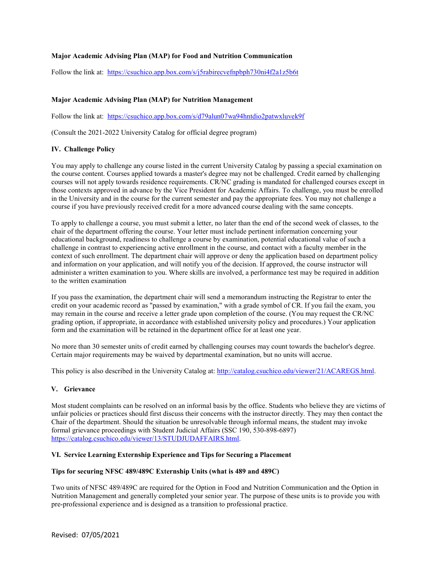## **Major Academic Advising Plan (MAP) for Food and Nutrition Communication**

Follow the link at: <https://csuchico.app.box.com/s/j5rabirecvefnpbph730ni4f2a1z5b6t>

#### **Major Academic Advising Plan (MAP) for Nutrition Management**

Follow the link at: <https://csuchico.app.box.com/s/d79alun07wa94hntdio2patwxluvek9f>

(Consult the 2021-2022 University Catalog for official degree program)

#### **IV. Challenge Policy**

You may apply to challenge any course listed in the current University Catalog by passing a special examination on the course content. Courses applied towards a master's degree may not be challenged. Credit earned by challenging courses will not apply towards residence requirements. CR/NC grading is mandated for challenged courses except in those contexts approved in advance by the Vice President for Academic Affairs. To challenge, you must be enrolled in the University and in the course for the current semester and pay the appropriate fees. You may not challenge a course if you have previously received credit for a more advanced course dealing with the same concepts.

To apply to challenge a course, you must submit a letter, no later than the end of the second week of classes, to the chair of the department offering the course. Your letter must include pertinent information concerning your educational background, readiness to challenge a course by examination, potential educational value of such a challenge in contrast to experiencing active enrollment in the course, and contact with a faculty member in the context of such enrollment. The department chair will approve or deny the application based on department policy and information on your application, and will notify you of the decision. If approved, the course instructor will administer a written examination to you. Where skills are involved, a performance test may be required in addition to the written examination

If you pass the examination, the department chair will send a memorandum instructing the Registrar to enter the credit on your academic record as "passed by examination," with a grade symbol of CR. If you fail the exam, you may remain in the course and receive a letter grade upon completion of the course. (You may request the CR/NC grading option, if appropriate, in accordance with established university policy and procedures.) Your application form and the examination will be retained in the department office for at least one year.

No more than 30 semester units of credit earned by challenging courses may count towards the bachelor's degree. Certain major requirements may be waived by departmental examination, but no units will accrue.

This policy is also described in the University Catalog at: [http://catalog.csuchico.edu/viewer/21/ACAREGS.html.](http://catalog.csuchico.edu/viewer/21/ACAREGS.html)

#### **V. Grievance**

Most student complaints can be resolved on an informal basis by the office. Students who believe they are victims of unfair policies or practices should first discuss their concerns with the instructor directly. They may then contact the Chair of the department. Should the situation be unresolvable through informal means, the student may invoke formal grievance proceedings with Student Judicial Affairs (SSC 190, 530-898-6897) [https://catalog.csuchico.edu/viewer/13/STUDJUDAFFAIRS.html.](https://catalog.csuchico.edu/viewer/13/STUDJUDAFFAIRS.html)

#### **VI. Service Learning Externship Experience and Tips for Securing a Placement**

#### **Tips for securing NFSC 489/489C Externship Units (what is 489 and 489C)**

Two units of NFSC 489/489C are required for the Option in Food and Nutrition Communication and the Option in Nutrition Management and generally completed your senior year. The purpose of these units is to provide you with pre-professional experience and is designed as a transition to professional practice.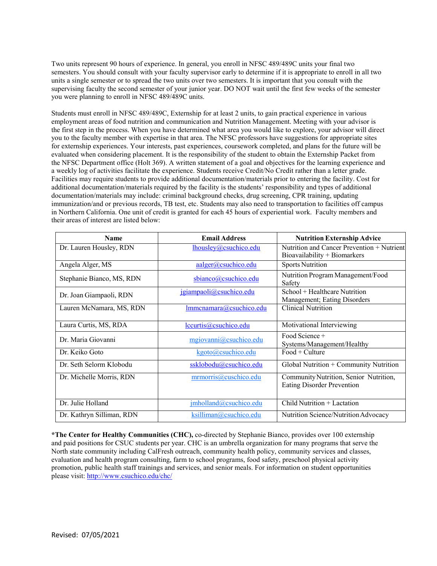Two units represent 90 hours of experience. In general, you enroll in NFSC 489/489C units your final two semesters. You should consult with your faculty supervisor early to determine if it is appropriate to enroll in all two units a single semester or to spread the two units over two semesters. It is important that you consult with the supervising faculty the second semester of your junior year. DO NOT wait until the first few weeks of the semester you were planning to enroll in NFSC 489/489C units.

Students must enroll in NFSC 489/489C, Externship for at least 2 units, to gain practical experience in various employment areas of food nutrition and communication and Nutrition Management. Meeting with your advisor is the first step in the process. When you have determined what area you would like to explore, your advisor will direct you to the faculty member with expertise in that area. The NFSC professors have suggestions for appropriate sites for externship experiences. Your interests, past experiences, coursework completed, and plans for the future will be evaluated when considering placement. It is the responsibility of the student to obtain the Externship Packet from the NFSC Department office (Holt 369). A written statement of a goal and objectives for the learning experience and a weekly log of activities facilitate the experience. Students receive Credit/No Credit rather than a letter grade. Facilities may require students to provide additional documentation/materials prior to entering the facility. Cost for additional documentation/materials required by the facility is the students' responsibility and types of additional documentation/materials may include: criminal background checks, drug screening, CPR training, updating immunization/and or previous records, TB test, etc. Students may also need to transportation to facilities off campus in Northern California. One unit of credit is granted for each 45 hours of experiential work. Faculty members and their areas of interest are listed below:

| <b>Name</b>               | <b>Email Address</b>    | <b>Nutrition Externship Advice</b>                                          |
|---------------------------|-------------------------|-----------------------------------------------------------------------------|
| Dr. Lauren Housley, RDN   | lhousley@csuchico.edu   | Nutrition and Cancer Prevention + Nutrient<br>Bioavailability + Biomarkers  |
| Angela Alger, MS          | aalger@csuchico.edu     | <b>Sports Nutrition</b>                                                     |
| Stephanie Bianco, MS, RDN | sbianco@csuchico.edu    | Nutrition Program Management/Food<br>Safety                                 |
| Dr. Joan Giampaoli, RDN   | jgiampaoli@csuchico.edu | School + Healthcare Nutrition<br>Management; Eating Disorders               |
| Lauren McNamara, MS, RDN  | Immcnamara@csuchico.edu | Clinical Nutrition                                                          |
| Laura Curtis, MS, RDA     | lccurtis@csuchico.edu   | Motivational Interviewing                                                   |
| Dr. Maria Giovanni        | mgiovanni@csuchico.edu  | Food Science +<br>Systems/Management/Healthy                                |
| Dr. Keiko Goto            | kgoto@csuchico.edu      | $Food + Culture$                                                            |
| Dr. Seth Selorm Klobodu   | ssklobodu@csuchico.edu  | Global Nutrition + Community Nutrition                                      |
| Dr. Michelle Morris, RDN  | mrmorris@cuschico.edu   | Community Nutrition, Senior Nutrition,<br><b>Eating Disorder Prevention</b> |
| Dr. Julie Holland         | jmholland@csuchico.edu  | Child Nutrition + Lactation                                                 |
| Dr. Kathryn Silliman, RDN | ksilliman@csuchico.edu  | Nutrition Science/Nutrition Advocacy                                        |

**\*The Center for Healthy Communities (CHC),** co-directed by Stephanie Bianco, provides over 100 externship and paid positions for CSUC students per year. CHC is an umbrella organization for many programs that serve the North state community including CalFresh outreach, community health policy, community services and classes, evaluation and health program consulting, farm to school programs, food safety, preschool physical activity promotion, public health staff trainings and services, and senior meals. For information on student opportunities please visit:<http://www.csuchico.edu/chc/>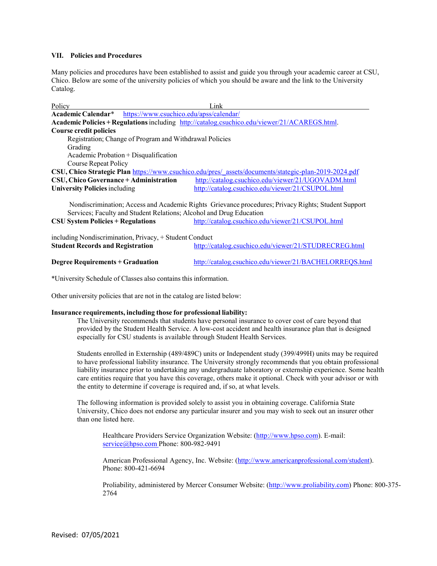#### **VII. Policies and Procedures**

Many policies and procedures have been established to assist and guide you through your academic career at CSU, Chico. Below are some of the university policies of which you should be aware and the link to the University Catalog.

| Policy                                                                                        |                                         | Link                                                                                                  |  |  |
|-----------------------------------------------------------------------------------------------|-----------------------------------------|-------------------------------------------------------------------------------------------------------|--|--|
| Academic Calendar*                                                                            | https://www.csuchico.edu/apss/calendar/ |                                                                                                       |  |  |
| Academic Policies + Regulations including http://catalog.csuchico.edu/viewer/21/ACAREGS.html. |                                         |                                                                                                       |  |  |
| <b>Course credit policies</b>                                                                 |                                         |                                                                                                       |  |  |
| Registration; Change of Program and Withdrawal Policies                                       |                                         |                                                                                                       |  |  |
| Grading                                                                                       |                                         |                                                                                                       |  |  |
|                                                                                               | Academic Probation $+$ Disqualification |                                                                                                       |  |  |
| <b>Course Repeat Policy</b>                                                                   |                                         |                                                                                                       |  |  |
|                                                                                               |                                         | CSU, Chico Strategic Plan https://www.csuchico.edu/pres/ assets/documents/stategic-plan-2019-2024.pdf |  |  |
| <b>CSU, Chico Governance + Administration</b>                                                 |                                         | http://catalog.csuchico.edu/viewer/21/UGOVADM.html                                                    |  |  |
| <b>University Policies including</b>                                                          |                                         | http://catalog.csuchico.edu/viewer/21/CSUPOL.html                                                     |  |  |
|                                                                                               |                                         | Nondiscrimination; Access and Academic Rights Grievance procedures; Privacy Rights; Student Support   |  |  |
| Services; Faculty and Student Relations; Alcohol and Drug Education                           |                                         |                                                                                                       |  |  |
| <b>CSU System Policies + Regulations</b>                                                      |                                         | http://catalog.csuchico.edu/viewer/21/CSUPOL.html                                                     |  |  |
| including Nondiscrimination, Privacy, + Student Conduct                                       |                                         |                                                                                                       |  |  |

| $\mu$ merading romanon immation, $\mu$ invacy, $\mu$ bradem conduct |                                                       |
|---------------------------------------------------------------------|-------------------------------------------------------|
| <b>Student Records and Registration</b>                             | http://catalog.csuchico.edu/viewer/21/STUDRECREG.html |
|                                                                     |                                                       |

\*University Schedule of Classes also contains this information.

Other university policies that are not in the catalog are listed below:

#### **Insurance requirements, including those for professional liability:**

The University recommends that students have personal insurance to cover cost of care beyond that provided by the Student Health Service. A low-cost accident and health insurance plan that is designed especially for CSU students is available through Student Health Services.

Students enrolled in Externship (489/489C) units or Independent study (399/499H) units may be required to have professional liability insurance. The University strongly recommends that you obtain professional liability insurance prior to undertaking any undergraduate laboratory or externship experience. Some health care entities require that you have this coverage, others make it optional. Check with your advisor or with the entity to determine if coverage is required and, if so, at what levels.

The following information is provided solely to assist you in obtaining coverage. California State University, Chico does not endorse any particular insurer and you may wish to seek out an insurer other than one listed here.

Healthcare Providers Service Organization Website: [\(http://www.hpso.com\)](http://www.hpso.com/). E-mail: [service@hpso.com P](mailto:service@hpso.com)hone: 800-982-9491

American Professional Agency, Inc. Website: [\(http://www.americanprofessional.com/student\)](http://www.americanprofessional.com/student). Phone: 800-421-6694

Proliability, administered by Mercer Consumer Website: [\(http://www.proliability.com\)](http://www.proliability.com/) Phone: 800-375- 2764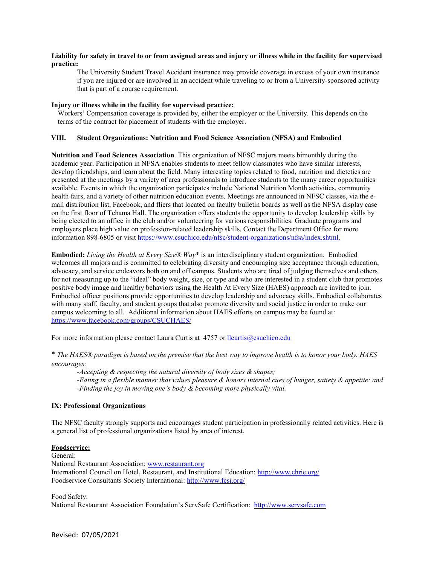#### **Liability for safety in travel to or from assigned areas and injury or illness while in the facility for supervised practice:**

The University Student Travel Accident insurance may provide coverage in excess of your own insurance if you are injured or are involved in an accident while traveling to or from a University-sponsored activity that is part of a course requirement.

#### **Injury or illness while in the facility for supervised practice:**

Workers' Compensation coverage is provided by, either the employer or the University. This depends on the terms of the contract for placement of students with the employer.

#### **VIII. Student Organizations: Nutrition and Food Science Association (NFSA) and Embodied**

**Nutrition and Food Sciences Association**. This organization of NFSC majors meets bimonthly during the academic year. Participation in NFSA enables students to meet fellow classmates who have similar interests, develop friendships, and learn about the field. Many interesting topics related to food, nutrition and dietetics are presented at the meetings by a variety of area professionals to introduce students to the many career opportunities available. Events in which the organization participates include National Nutrition Month activities, community health fairs, and a variety of other nutrition education events. Meetings are announced in NFSC classes, via the email distribution list, Facebook, and fliers that located on faculty bulletin boards as well as the NFSA display case on the first floor of Tehama Hall. The organization offers students the opportunity to develop leadership skills by being elected to an office in the club and/or volunteering for various responsibilities. Graduate programs and employers place high value on profession-related leadership skills. Contact the Department Office for more information 898-6805 or visit [https://www.csuchico.edu/nfsc/student-organizations/nfsa/index.shtml.](https://www.csuchico.edu/nfsc/student-organizations/nfsa/index.shtml)

**Embodied:** *Living the Health at Every Size® Way*\* is an interdisciplinary student organization. Embodied welcomes all majors and is committed to celebrating diversity and encouraging size acceptance through education, advocacy, and service endeavors both on and off campus. Students who are tired of judging themselves and others for not measuring up to the "ideal" body weight, size, or type and who are interested in a student club that promotes positive body image and healthy behaviors using the Health At Every Size (HAES) approach are invited to join. Embodied officer positions provide opportunities to develop leadership and advocacy skills. Embodied collaborates with many staff, faculty, and student groups that also promote diversity and social justice in order to make our campus welcoming to all. Additional information about HAES efforts on campus may be found at: <https://www.facebook.com/groups/CSUCHAES/>

For more information please contact Laura Curtis at 4757 or [llcurtis@csuchico.edu](mailto:llcurtis@csuchico.edu)

\* *The HAES® paradigm is based on the premise that the best way to improve health is to honor your body. HAES encourages:*

*-Accepting & respecting the natural diversity of body sizes & shapes; -Eating in a flexible manner that values pleasure & honors internal cues of hunger, satiety & appetite; and -Finding the joy in moving one's body & becoming more physically vital.*

#### **IX: Professional Organizations**

The NFSC faculty strongly supports and encourages student participation in professionally related activities. Here is a general list of professional organizations listed by area of interest.

#### **Foodservice:**

General:

National Restaurant Association[: www.restaurant.org](http://www.restaurant.org/) International Council on Hotel, Restaurant, and Institutional Education:<http://www.chrie.org/> Foodservice Consultants Society International:<http://www.fcsi.org/>

Food Safety:

National Restaurant Association Foundation's ServSafe Certification: [http://www.servsafe.com](http://www.servsafe.com/)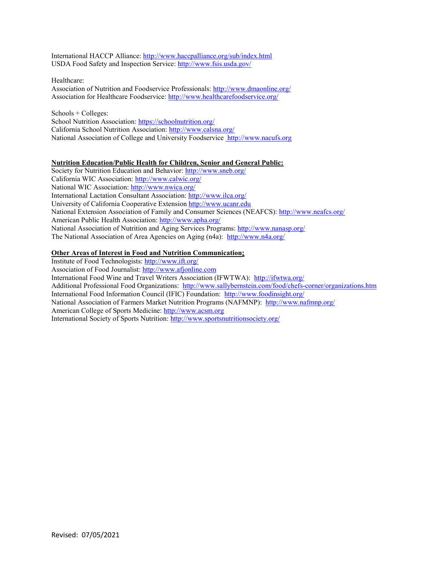International HACCP Alliance[: http://www.haccpalliance.org/sub/index.html](http://www.haccpalliance.org/sub/index.html) USDA Food Safety and Inspection Service:<http://www.fsis.usda.gov/>

Healthcare: Association of Nutrition and Foodservice Professionals[: http://www.dmaonline.org/](http://www.dmaonline.org/) Association for Healthcare Foodservice:<http://www.healthcarefoodservice.org/>

Schools + Colleges: School Nutrition Association: https://schoolnutrition.org/ California School Nutrition Association:<http://www.calsna.org/> National Association of College and University Foodservice [http://www.nacufs.org](http://www.nacufs.org/)

# **Nutrition Education/Public Health for Children, Senior and General Public:**

Society for Nutrition Education and Behavior[: http://www.sneb.org/](http://www.sneb.org/) California WIC Association:<http://www.calwic.org/> National WIC Association:<http://www.nwica.org/> International Lactation Consultant Association:<http://www.ilca.org/> University of California Cooperative Extension [http://www.ucanr.edu](http://www.ucanr.edu/) National Extension Association of Family and Consumer Sciences (NEAFCS):<http://www.neafcs.org/> American Public Health Association[: http://www.apha.org/](http://www.apha.org/) National Association of Nutrition and Aging Services Programs:<http://www.nanasp.org/> The National Association of Area Agencies on Aging (n4a): <http://www.n4a.org/>

# **Other Areas of Interest in Food and Nutrition Communication:**

Institute of Food Technologists[: http://www.ift.org/](http://www.ift.org/) Association of Food Journalist: [http://www.afjonline.com](http://www.afjonline.com/) International Food Wine and Travel Writers Association (IFWTWA): <http://ifwtwa.org/> Additional Professional Food Organizations: <http://www.sallybernstein.com/food/chefs-corner/organizations.htm> International Food Information Council (IFIC) Foundation: <http://www.foodinsight.org/> National Association of Farmers Market Nutrition Programs (NAFMNP): <http://www.nafmnp.org/> American College of Sports Medicine: [http://www.acsm.org](http://www.acsm.org/) International Society of Sports Nutrition:<http://www.sportsnutritionsociety.org/>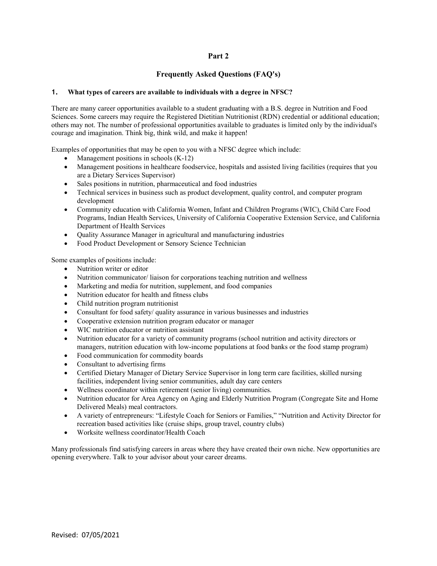# **Part 2**

# **Frequently Asked Questions (FAQ's)**

#### **1. What types of careers are available to individuals with a degree in NFSC?**

There are many career opportunities available to a student graduating with a B.S. degree in Nutrition and Food Sciences. Some careers may require the Registered Dietitian Nutritionist (RDN) credential or additional education; others may not. The number of professional opportunities available to graduates is limited only by the individual's courage and imagination. Think big, think wild, and make it happen!

Examples of opportunities that may be open to you with a NFSC degree which include:

- Management positions in schools  $(K-12)$
- Management positions in healthcare foodservice, hospitals and assisted living facilities (requires that you are a Dietary Services Supervisor)
- Sales positions in nutrition, pharmaceutical and food industries
- Technical services in business such as product development, quality control, and computer program development
- Community education with California Women, Infant and Children Programs (WIC), Child Care Food Programs, Indian Health Services, University of California Cooperative Extension Service, and California Department of Health Services
- Quality Assurance Manager in agricultural and manufacturing industries
- Food Product Development or Sensory Science Technician

Some examples of positions include:

- Nutrition writer or editor
- Nutrition communicator/ liaison for corporations teaching nutrition and wellness
- Marketing and media for nutrition, supplement, and food companies
- Nutrition educator for health and fitness clubs
- Child nutrition program nutritionist
- Consultant for food safety/ quality assurance in various businesses and industries
- Cooperative extension nutrition program educator or manager
- WIC nutrition educator or nutrition assistant
- Nutrition educator for a variety of community programs (school nutrition and activity directors or managers, nutrition education with low-income populations at food banks or the food stamp program)
- Food communication for commodity boards
- Consultant to advertising firms
- Certified Dietary Manager of Dietary Service Supervisor in long term care facilities, skilled nursing facilities, independent living senior communities, adult day care centers
- Wellness coordinator within retirement (senior living) communities.
- Nutrition educator for Area Agency on Aging and Elderly Nutrition Program (Congregate Site and Home Delivered Meals) meal contractors.
- A variety of entrepreneurs: "Lifestyle Coach for Seniors or Families," "Nutrition and Activity Director for recreation based activities like (cruise ships, group travel, country clubs)
- Worksite wellness coordinator/Health Coach

Many professionals find satisfying careers in areas where they have created their own niche. New opportunities are opening everywhere. Talk to your advisor about your career dreams.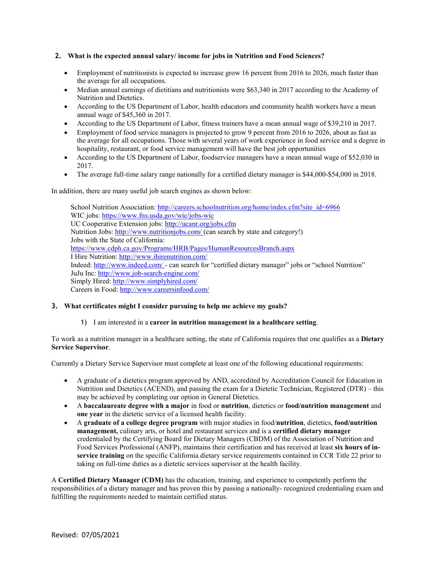#### **2. What is the expected annual salary/ income for jobs in Nutrition and Food Sciences?**

- Employment of nutritionists is expected to increase grow 16 percent from 2016 to 2026, much faster than the average for all occupations.
- Median annual earnings of dietitians and nutritionists were \$63,340 in 2017 according to the Academy of Nutrition and Dietetics.
- According to the US Department of Labor, health educators and community health workers have a mean annual wage of \$45,360 in 2017.
- According to the US Department of Labor, fitness trainers have a mean annual wage of \$39,210 in 2017.
- Employment of food service managers is projected to grow 9 percent from 2016 to 2026, about as fast as the average for all occupations. Those with several years of work experience in food service and a degree in hospitality, restaurant, or food service management will have the best job opportunities
- According to the US Department of Labor, foodservice managers have a mean annual wage of \$52,030 in 2017.
- The average full-time salary range nationally for a certified dietary manager is \$44,000-\$54,000 in 2018.

In addition, there are many useful job search engines as shown below:

School Nutrition Association: [http://careers.schoolnutrition.org/home/index.cfm?site\\_id=6966](http://careers.schoolnutrition.org/home/index.cfm?site_id=6966) WIC jobs:<https://www.fns.usda.gov/wic/jobs-wic> UC Cooperative Extension jobs:<http://ucanr.org/jobs.cfm> Nutrition Jobs: [http://www.nutritionjobs.com/ \(](http://www.nutritionjobs.com/)can search by state and category!) Jobs with the State of California: <https://www.cdph.ca.gov/Programs/HRB/Pages/HumanResourcesBranch.aspx> I Hire Nutrition:<http://www.ihirenutrition.com/> Indeed[: http://www.indeed.com/ -](http://www.indeed.com/) can search for "certified dietary manager" jobs or "school Nutrition" JuJu Inc:<http://www.job-search-engine.com/> Simply Hired:<http://www.simplyhired.com/> Careers in Food:<http://www.careersinfood.com/>

#### **3. What certificates might I consider pursuing to help me achieve my goals?**

#### 1) I am interested in a **career in nutrition management in a healthcare setting**.

To work as a nutrition manager in a healthcare setting, the state of California requires that one qualifies as a **Dietary Service Supervisor**.

Currently a Dietary Service Supervisor must complete at least one of the following educational requirements:

- A graduate of a dietetics program approved by AND, accredited by Accreditation Council for Education in Nutrition and Dietetics (ACEND), and passing the exam for a Dietetic Technician, Registered (DTR) – this may be achieved by completing our option in General Dietetics.
- A **baccalaureate degree with a major** in food or **nutrition**, dietetics or **food/nutrition management** and **one year** in the dietetic service of a licensed health facility.
- A **graduate of a college degree program** with major studies in food/**nutrition**, dietetics, **food/nutrition management,** culinary arts, or hotel and restaurant services and is a **certified dietary manager**  credentialed by the Certifying Board for Dietary Managers (CBDM) of the Association of Nutrition and Food Services Professional (ANFP), maintains their certification and has received at least **six hours of inservice training** on the specific California dietary service requirements contained in CCR Title 22 prior to taking on full-time duties as a dietetic services supervisor at the health facility.

A **Certified Dietary Manager (CDM)** has the education, training, and experience to competently perform the responsibilities of a dietary manager and has proven this by passing a nationally- recognized credentialing exam and fulfilling the requirements needed to maintain certified status.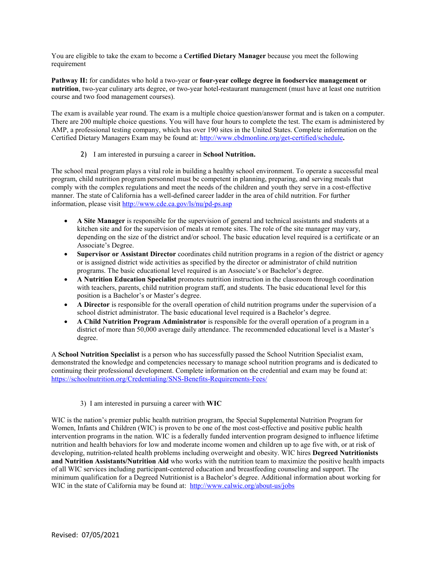You are eligible to take the exam to become a **Certified Dietary Manager** because you meet the following requirement

**Pathway II:** for candidates who hold a two-year or **four-year college degree in foodservice management or nutrition**, two-year culinary arts degree, or two-year hotel-restaurant management (must have at least one nutrition course and two food management courses).

The exam is available year round. The exam is a multiple choice question/answer format and is taken on a computer. There are 200 multiple choice questions. You will have four hours to complete the test. The exam is administered by AMP, a professional testing company, which has over 190 sites in the United States. Complete information on the Certified Dietary Managers Exam may be found at: <http://www.cbdmonline.org/get-certified/schedule>**.**

## 2) I am interested in pursuing a career in **School Nutrition.**

The school meal program plays a vital role in building a healthy school environment. To operate a successful meal program, child nutrition program personnel must be competent in planning, preparing, and serving meals that comply with the complex regulations and meet the needs of the children and youth they serve in a cost-effective manner. The state of California has a well-defined career ladder in the area of child nutrition. For further information, please visit <http://www.cde.ca.gov/ls/nu/pd-ps.asp>

- **A Site Manager** is responsible for the supervision of general and technical assistants and students at a kitchen site and for the supervision of meals at remote sites. The role of the site manager may vary, depending on the size of the district and/or school. The basic education level required is a certificate or an Associate's Degree.
- **Supervisor or Assistant Director** coordinates child nutrition programs in a region of the district or agency or is assigned district wide activities as specified by the director or administrator of child nutrition programs. The basic educational level required is an Associate's or Bachelor's degree.
- **A Nutrition Education Specialist** promotes nutrition instruction in the classroom through coordination with teachers, parents, child nutrition program staff, and students. The basic educational level for this position is a Bachelor's or Master's degree.
- **A Director** is responsible for the overall operation of child nutrition programs under the supervision of a school district administrator. The basic educational level required is a Bachelor's degree.
- **A Child Nutrition Program Administrator** is responsible for the overall operation of a program in a district of more than 50,000 average daily attendance. The recommended educational level is a Master's degree.

A **School Nutrition Specialist** is a person who has successfully passed the School Nutrition Specialist exam, demonstrated the knowledge and competencies necessary to manage school nutrition programs and is dedicated to continuing their professional development. Complete information on the credential and exam may be found at: <https://schoolnutrition.org/Credentialing/SNS-Benefits-Requirements-Fees/>

#### 3)I am interested in pursuing a career with **WIC**

WIC is the nation's premier public health nutrition program, the Special Supplemental Nutrition Program for Women, Infants and Children (WIC) is proven to be one of the most cost-effective and positive public health intervention programs in the nation. WIC is a federally funded intervention program designed to influence lifetime nutrition and health behaviors for low and moderate income women and children up to age five with, or at risk of developing, nutrition-related health problems including overweight and obesity. WIC hires **Degreed Nutritionists and Nutrition Assistants/Nutrition Aid** who works with the nutrition team to maximize the positive health impacts of all WIC services including participant-centered education and breastfeeding counseling and support. The minimum qualification for a Degreed Nutritionist is a Bachelor's degree. Additional information about working for WIC in the state of California may be found at: <http://www.calwic.org/about-us/jobs>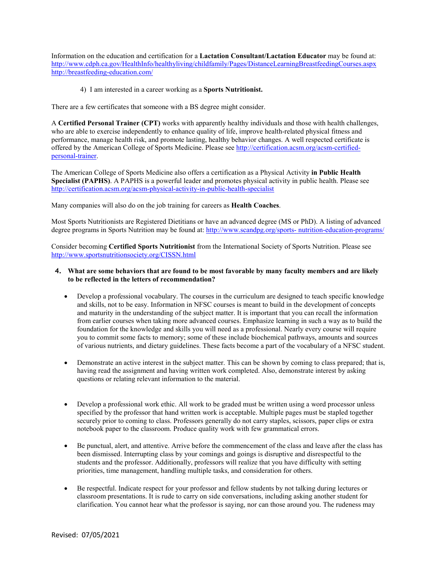Information on the education and certification for a **Lactation Consultant/Lactation Educator** may be found at: <http://www.cdph.ca.gov/HealthInfo/healthyliving/childfamily/Pages/DistanceLearningBreastfeedingCourses.aspx> <http://breastfeeding-education.com/>

4) I am interested in a career working as a **Sports Nutritionist.**

There are a few certificates that someone with a BS degree might consider.

A **Certified Personal Trainer (CPT)** works with apparently healthy individuals and those with health challenges, who are able to exercise independently to enhance quality of life, improve health-related physical fitness and performance, manage health risk, and promote lasting, healthy behavior changes. A well respected certificate is offered by the American College of Sports Medicine. Please see [http://certification.acsm.org/acsm-certified](http://certification.acsm.org/acsm-certified-personal-trainer)[personal-trainer.](http://certification.acsm.org/acsm-certified-personal-trainer)

The American College of Sports Medicine also offers a certification as a Physical Activity **in Public Health Specialist (PAPHS)**. A PAPHS is a powerful leader and promotes physical activity in public health. Please see <http://certification.acsm.org/acsm-physical-activity-in-public-health-specialist>

Many companies will also do on the job training for careers as **Health Coaches**.

Most Sports Nutritionists are Registered Dietitians or have an advanced degree (MS or PhD). A listing of advanced degree programs in Sports Nutrition may be found at: [http://www.scandpg.org/sports-](http://www.scandpg.org/sports-nutrition-education-programs/) [nutrition-education-programs/](http://www.scandpg.org/sports-nutrition-education-programs/)

Consider becoming **Certified Sports Nutritionist** from the International Society of Sports Nutrition. Please see <http://www.sportsnutritionsociety.org/CISSN.html>

#### **4. What are some behaviors that are found to be most favorable by many faculty members and are likely to be reflected in the letters of recommendation?**

- Develop a professional vocabulary. The courses in the curriculum are designed to teach specific knowledge and skills, not to be easy. Information in NFSC courses is meant to build in the development of concepts and maturity in the understanding of the subject matter. It is important that you can recall the information from earlier courses when taking more advanced courses. Emphasize learning in such a way as to build the foundation for the knowledge and skills you will need as a professional. Nearly every course will require you to commit some facts to memory; some of these include biochemical pathways, amounts and sources of various nutrients, and dietary guidelines. These facts become a part of the vocabulary of a NFSC student.
- Demonstrate an active interest in the subject matter. This can be shown by coming to class prepared; that is, having read the assignment and having written work completed. Also, demonstrate interest by asking questions or relating relevant information to the material.
- Develop a professional work ethic. All work to be graded must be written using a word processor unless specified by the professor that hand written work is acceptable. Multiple pages must be stapled together securely prior to coming to class. Professors generally do not carry staples, scissors, paper clips or extra notebook paper to the classroom. Produce quality work with few grammatical errors.
- Be punctual, alert, and attentive. Arrive before the commencement of the class and leave after the class has been dismissed. Interrupting class by your comings and goings is disruptive and disrespectful to the students and the professor. Additionally, professors will realize that you have difficulty with setting priorities, time management, handling multiple tasks, and consideration for others.
- Be respectful. Indicate respect for your professor and fellow students by not talking during lectures or classroom presentations. It is rude to carry on side conversations, including asking another student for clarification. You cannot hear what the professor is saying, nor can those around you. The rudeness may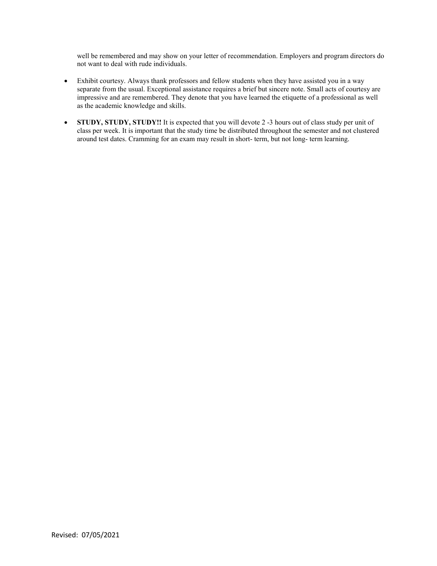well be remembered and may show on your letter of recommendation. Employers and program directors do not want to deal with rude individuals.

- Exhibit courtesy. Always thank professors and fellow students when they have assisted you in a way separate from the usual. Exceptional assistance requires a brief but sincere note. Small acts of courtesy are impressive and are remembered. They denote that you have learned the etiquette of a professional as well as the academic knowledge and skills.
- **STUDY, STUDY, STUDY!!** It is expected that you will devote 2 -3 hours out of class study per unit of class per week. It is important that the study time be distributed throughout the semester and not clustered around test dates. Cramming for an exam may result in short- term, but not long- term learning.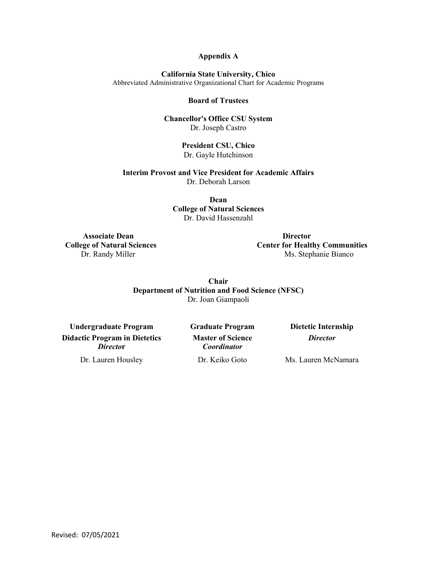# **Appendix A**

**California State University, Chico**

Abbreviated Administrative Organizational Chart for Academic Programs

## **Board of Trustees**

**Chancellor's Office CSU System** Dr. Joseph Castro

> **President CSU, Chico** Dr. Gayle Hutchinson

**Interim Provost and Vice President for Academic Affairs** Dr. Deborah Larson

> **Dean College of Natural Sciences** Dr. David Hassenzahl

 **Associate Dean Director**

 **College of Natural Sciences Center for Healthy Communities** Dr. Randy Miller Ms. Stephanie Bianco

> **Chair Department of Nutrition and Food Science (NFSC)** Dr. Joan Giampaoli

**Undergraduate Program Graduate Program Dietetic Internship Didactic Program in Dietetics** *Directo***r**

**Master of Science** *Coordinator*

*Director*

Dr. Lauren Housley Dr. Keiko Goto Ms. Lauren McNamara